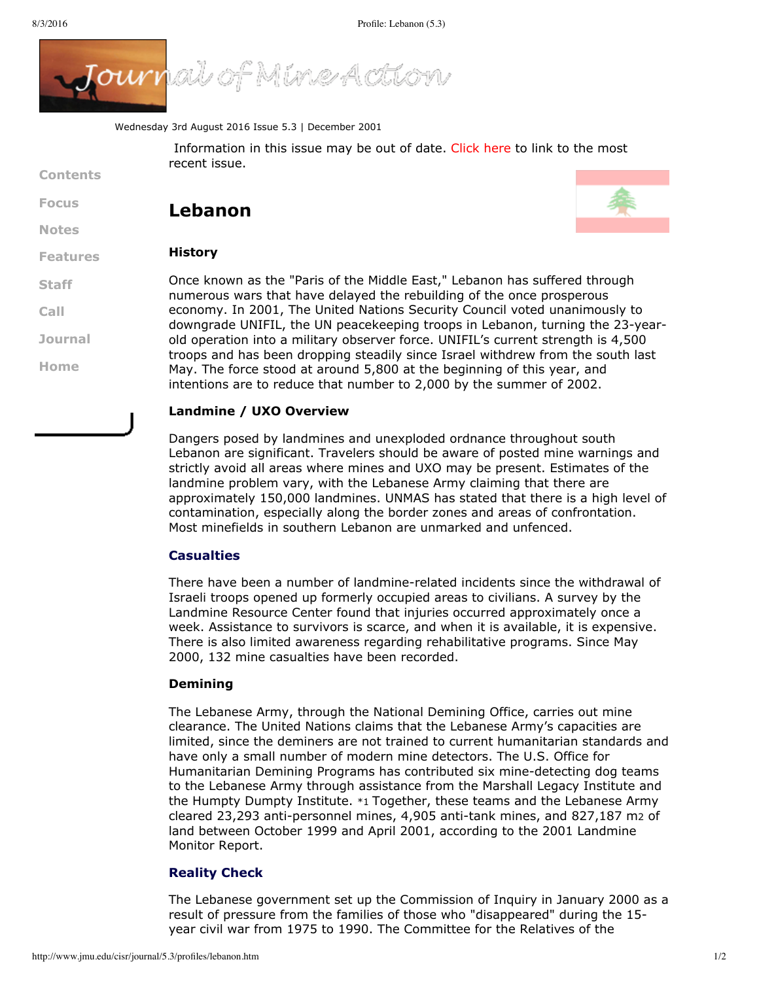**Contents**

**[Focus](http://www.jmu.edu/cisr/journal/5.3/index.htm#focus)**

**[Notes](http://www.jmu.edu/cisr/journal/5.3/index.htm#notes)**

**[Staff](http://www.jmu.edu/cisr/staff/index.shtml)**

**[Call](http://www.jmu.edu/cisr/journal/cfps.shtml)**

**[Journal](http://www.jmu.edu/cisr/journal/past-issues.shtml)**

**[Home](http://www.jmu.edu/cisr/journal/5.3/index.htm)**

**[Features](http://www.jmu.edu/cisr/journal/5.3/index.htm#feature)**



Wednesday 3rd August 2016 Issue 5.3 | December 2001

Information in this issue may be out of date. [Click](http://www.jmu.edu/cisr/journal/current.shtml) here to link to the most recent issue.

# **Lebanon**

**History**



Once known as the "Paris of the Middle East," Lebanon has suffered through numerous wars that have delayed the rebuilding of the once prosperous economy. In 2001, The United Nations Security Council voted unanimously to downgrade UNIFIL, the UN peacekeeping troops in Lebanon, turning the 23-yearold operation into a military observer force. UNIFIL's current strength is 4,500 troops and has been dropping steadily since Israel withdrew from the south last May. The force stood at around 5,800 at the beginning of this year, and intentions are to reduce that number to 2,000 by the summer of 2002.

# **Landmine / UXO Overview**

Dangers posed by landmines and unexploded ordnance throughout south Lebanon are significant. Travelers should be aware of posted mine warnings and strictly avoid all areas where mines and UXO may be present. Estimates of the landmine problem vary, with the Lebanese Army claiming that there are approximately 150,000 landmines. UNMAS has stated that there is a high level of contamination, especially along the border zones and areas of confrontation. Most minefields in southern Lebanon are unmarked and unfenced.

#### **Casualties**

There have been a number of landmine-related incidents since the withdrawal of Israeli troops opened up formerly occupied areas to civilians. A survey by the Landmine Resource Center found that injuries occurred approximately once a week. Assistance to survivors is scarce, and when it is available, it is expensive. There is also limited awareness regarding rehabilitative programs. Since May 2000, 132 mine casualties have been recorded.

# **Demining**

The Lebanese Army, through the National Demining Office, carries out mine clearance. The United Nations claims that the Lebanese Army's capacities are limited, since the deminers are not trained to current humanitarian standards and have only a small number of modern mine detectors. The U.S. Office for Humanitarian Demining Programs has contributed six mine-detecting dog teams to the Lebanese Army through assistance from the Marshall Legacy Institute and the Humpty Dumpty Institute. \*1 Together, these teams and the Lebanese Army cleared 23,293 anti-personnel mines, 4,905 anti-tank mines, and 827,187 m2 of land between October 1999 and April 2001, according to the 2001 Landmine Monitor Report.

## **Reality Check**

The Lebanese government set up the Commission of Inquiry in January 2000 as a result of pressure from the families of those who "disappeared" during the 15 year civil war from 1975 to 1990. The Committee for the Relatives of the